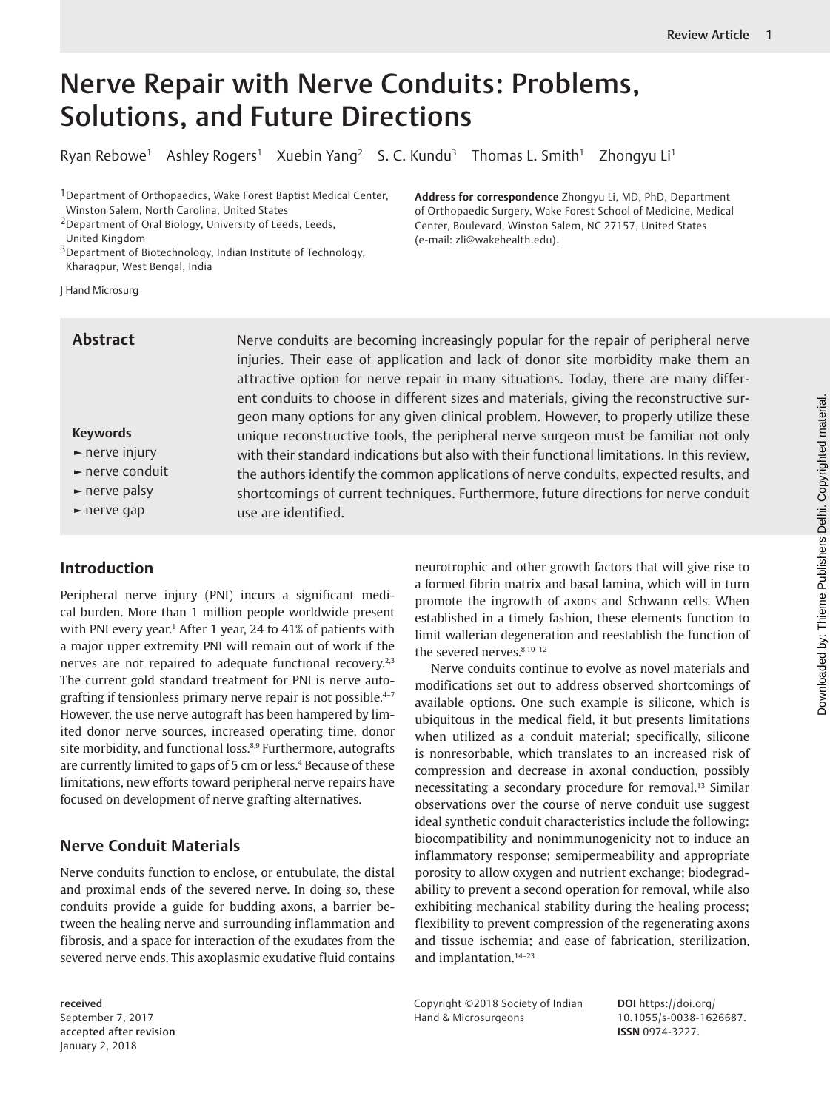# Nerve Repair with Nerve Conduits: Problems, Solutions, and Future Directions

Ryan Rebowe<sup>1</sup> Ashley Rogers<sup>1</sup> Xuebin Yang<sup>2</sup> S. C. Kundu<sup>3</sup> Thomas L. Smith<sup>1</sup> Zhongyu Li<sup>1</sup>

<sup>1</sup> Department of Orthopaedics, Wake Forest Baptist Medical Center, Winston Salem, North Carolina, United States

2Department of Oral Biology, University of Leeds, Leeds,

United Kingdom

3Department of Biotechnology, Indian Institute of Technology, Kharagpur, West Bengal, India

J Hand Microsurg

## **Abstract**

## **Keywords**

- **►** nerve injury
- **►** nerve conduit
- **►** nerve palsy
- **►** nerve gap

# **Introduction**

Peripheral nerve injury (PNI) incurs a significant medical burden. More than 1 million people worldwide present with PNI every year.<sup>1</sup> After 1 year, 24 to 41% of patients with a major upper extremity PNI will remain out of work if the nerves are not repaired to adequate functional recovery.<sup>2,3</sup> The current gold standard treatment for PNI is nerve autografting if tensionless primary nerve repair is not possible.<sup>4-7</sup> However, the use nerve autograft has been hampered by limited donor nerve sources, increased operating time, donor site morbidity, and functional loss.<sup>8,9</sup> Furthermore, autografts are currently limited to gaps of 5 cm or less.4 Because of these limitations, new efforts toward peripheral nerve repairs have focused on development of nerve grafting alternatives.

# **Nerve Conduit Materials**

Nerve conduits function to enclose, or entubulate, the distal and proximal ends of the severed nerve. In doing so, these conduits provide a guide for budding axons, a barrier between the healing nerve and surrounding inflammation and fibrosis, and a space for interaction of the exudates from the severed nerve ends. This axoplasmic exudative fluid contains

received September 7, 2017 accepted after revision January 2, 2018

Nerve conduits are becoming increasingly popular for the repair of peripheral nerve injuries. Their ease of application and lack of donor site morbidity make them an attractive option for nerve repair in many situations. Today, there are many different conduits to choose in different sizes and materials, giving the reconstructive surgeon many options for any given clinical problem. However, to properly utilize these unique reconstructive tools, the peripheral nerve surgeon must be familiar not only with their standard indications but also with their functional limitations. In this review, the authors identify the common applications of nerve conduits, expected results, and shortcomings of current techniques. Furthermore, future directions for nerve conduit use are identified.

> neurotrophic and other growth factors that will give rise to a formed fibrin matrix and basal lamina, which will in turn promote the ingrowth of axons and Schwann cells. When established in a timely fashion, these elements function to limit wallerian degeneration and reestablish the function of the severed nerves.<sup>8,10-12</sup>

> Nerve conduits continue to evolve as novel materials and modifications set out to address observed shortcomings of available options. One such example is silicone, which is ubiquitous in the medical field, it but presents limitations when utilized as a conduit material; specifically, silicone is nonresorbable, which translates to an increased risk of compression and decrease in axonal conduction, possibly necessitating a secondary procedure for removal.<sup>13</sup> Similar observations over the course of nerve conduit use suggest ideal synthetic conduit characteristics include the following: biocompatibility and nonimmunogenicity not to induce an inflammatory response; semipermeability and appropriate porosity to allow oxygen and nutrient exchange; biodegradability to prevent a second operation for removal, while also exhibiting mechanical stability during the healing process; flexibility to prevent compression of the regenerating axons and tissue ischemia; and ease of fabrication, sterilization, and implantation.14–23

Copyright ©2018 Society of Indian Hand & Microsurgeons

**DOI** https://doi.org/ 10.1055/s-0038-1626687. **ISSN** 0974-3227.

**Address for correspondence** Zhongyu Li, MD, PhD, Department of Orthopaedic Surgery, Wake Forest School of Medicine, Medical Center, Boulevard, Winston Salem, NC 27157, United States (e-mail: zli@wakehealth.edu).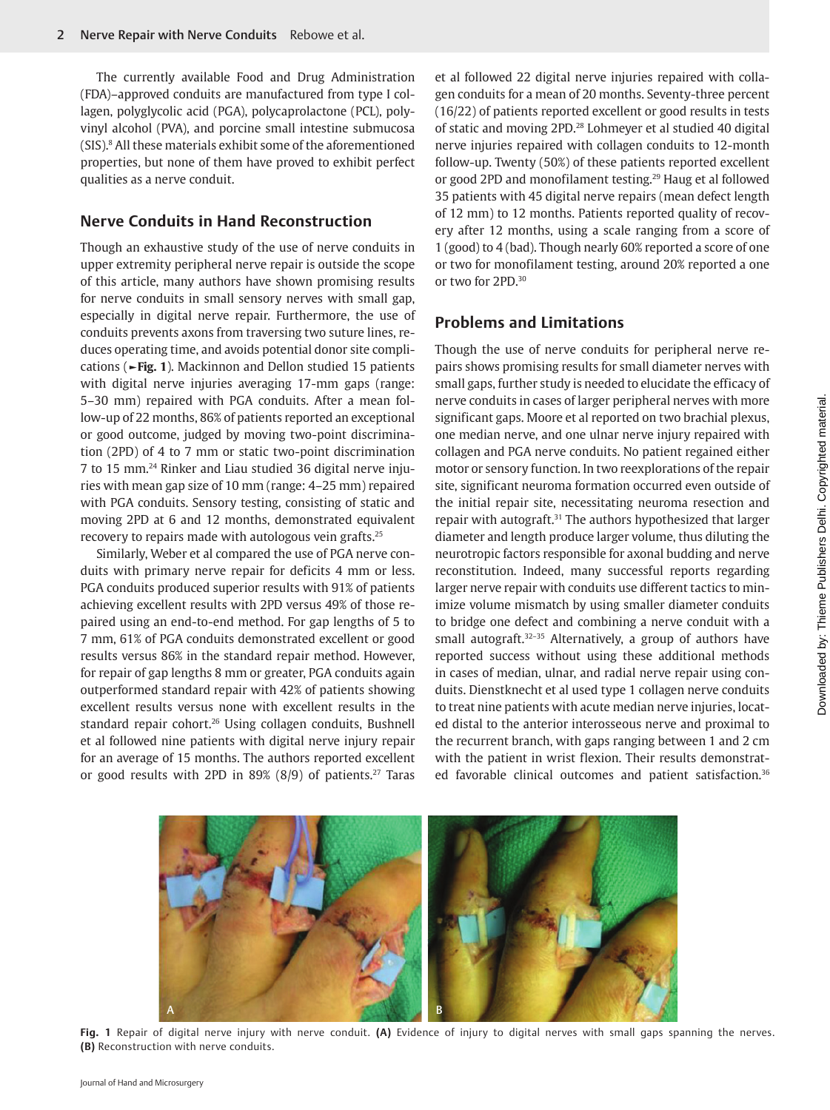The currently available Food and Drug Administration (FDA)–approved conduits are manufactured from type I collagen, polyglycolic acid (PGA), polycaprolactone (PCL), polyvinyl alcohol (PVA), and porcine small intestine submucosa (SIS).8 All these materials exhibit some of the aforementioned properties, but none of them have proved to exhibit perfect qualities as a nerve conduit.

# **Nerve Conduits in Hand Reconstruction**

Though an exhaustive study of the use of nerve conduits in upper extremity peripheral nerve repair is outside the scope of this article, many authors have shown promising results for nerve conduits in small sensory nerves with small gap, especially in digital nerve repair. Furthermore, the use of conduits prevents axons from traversing two suture lines, reduces operating time, and avoids potential donor site complications (**►Fig. 1**). Mackinnon and Dellon studied 15 patients with digital nerve injuries averaging 17-mm gaps (range: 5–30 mm) repaired with PGA conduits. After a mean follow-up of 22 months, 86% of patients reported an exceptional or good outcome, judged by moving two-point discrimination (2PD) of 4 to 7 mm or static two-point discrimination 7 to 15 mm.24 Rinker and Liau studied 36 digital nerve injuries with mean gap size of 10 mm (range: 4–25 mm) repaired with PGA conduits. Sensory testing, consisting of static and moving 2PD at 6 and 12 months, demonstrated equivalent recovery to repairs made with autologous vein grafts.25

Similarly, Weber et al compared the use of PGA nerve conduits with primary nerve repair for deficits 4 mm or less. PGA conduits produced superior results with 91% of patients achieving excellent results with 2PD versus 49% of those repaired using an end-to-end method. For gap lengths of 5 to 7 mm, 61% of PGA conduits demonstrated excellent or good results versus 86% in the standard repair method. However, for repair of gap lengths 8 mm or greater, PGA conduits again outperformed standard repair with 42% of patients showing excellent results versus none with excellent results in the standard repair cohort.26 Using collagen conduits, Bushnell et al followed nine patients with digital nerve injury repair for an average of 15 months. The authors reported excellent or good results with 2PD in 89%  $(8/9)$  of patients.<sup>27</sup> Taras et al followed 22 digital nerve injuries repaired with collagen conduits for a mean of 20 months. Seventy-three percent (16/22) of patients reported excellent or good results in tests of static and moving 2PD.28 Lohmeyer et al studied 40 digital nerve injuries repaired with collagen conduits to 12-month follow-up. Twenty (50%) of these patients reported excellent or good 2PD and monofilament testing.29 Haug et al followed 35 patients with 45 digital nerve repairs (mean defect length of 12 mm) to 12 months. Patients reported quality of recovery after 12 months, using a scale ranging from a score of 1 (good) to 4 (bad). Though nearly 60% reported a score of one or two for monofilament testing, around 20% reported a one or two for 2PD.<sup>30</sup>

## **Problems and Limitations**

Though the use of nerve conduits for peripheral nerve repairs shows promising results for small diameter nerves with small gaps, further study is needed to elucidate the efficacy of nerve conduits in cases of larger peripheral nerves with more significant gaps. Moore et al reported on two brachial plexus, one median nerve, and one ulnar nerve injury repaired with collagen and PGA nerve conduits. No patient regained either motor or sensory function. In two reexplorations of the repair site, significant neuroma formation occurred even outside of the initial repair site, necessitating neuroma resection and repair with autograft.<sup>31</sup> The authors hypothesized that larger diameter and length produce larger volume, thus diluting the neurotropic factors responsible for axonal budding and nerve reconstitution. Indeed, many successful reports regarding larger nerve repair with conduits use different tactics to minimize volume mismatch by using smaller diameter conduits to bridge one defect and combining a nerve conduit with a small autograft.<sup>32-35</sup> Alternatively, a group of authors have reported success without using these additional methods in cases of median, ulnar, and radial nerve repair using conduits. Dienstknecht et al used type 1 collagen nerve conduits to treat nine patients with acute median nerve injuries, located distal to the anterior interosseous nerve and proximal to the recurrent branch, with gaps ranging between 1 and 2 cm with the patient in wrist flexion. Their results demonstrated favorable clinical outcomes and patient satisfaction.<sup>36</sup>



**Fig. 1** Repair of digital nerve injury with nerve conduit. **(A)** Evidence of injury to digital nerves with small gaps spanning the nerves. **(B)** Reconstruction with nerve conduits.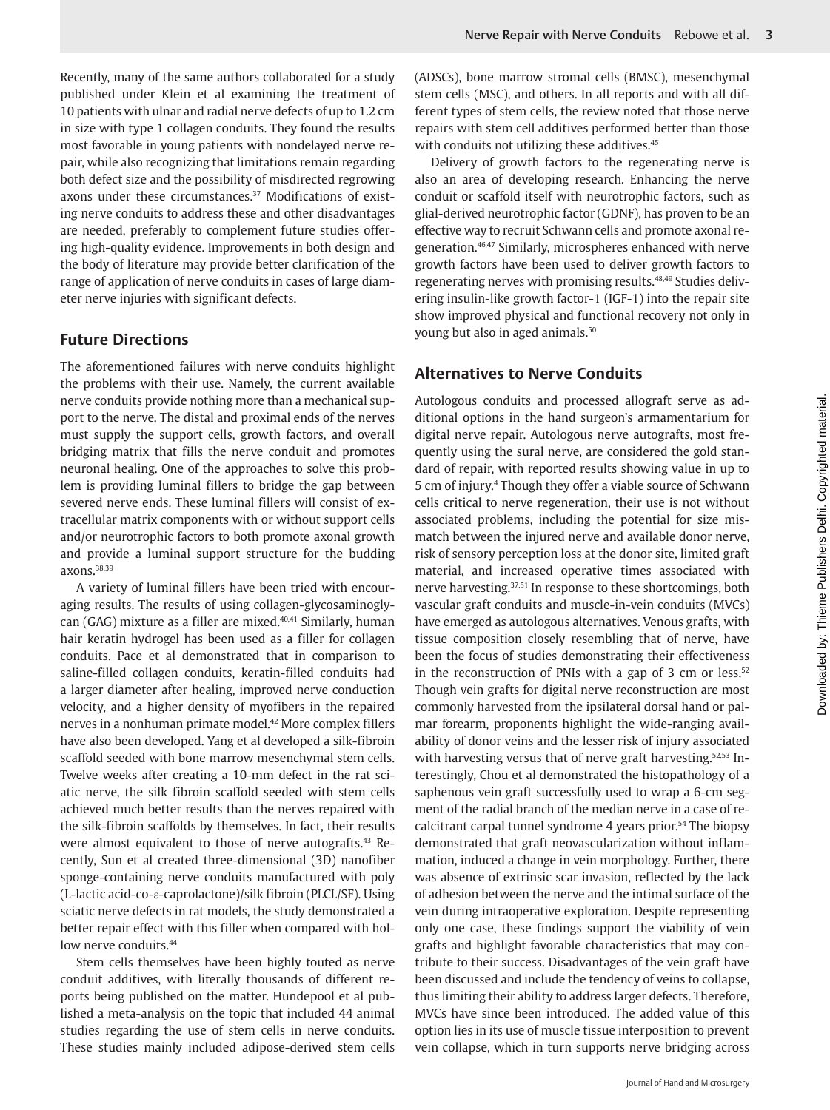Recently, many of the same authors collaborated for a study published under Klein et al examining the treatment of 10 patients with ulnar and radial nerve defects of up to 1.2 cm in size with type 1 collagen conduits. They found the results most favorable in young patients with nondelayed nerve repair, while also recognizing that limitations remain regarding both defect size and the possibility of misdirected regrowing axons under these circumstances.<sup>37</sup> Modifications of existing nerve conduits to address these and other disadvantages are needed, preferably to complement future studies offering high-quality evidence. Improvements in both design and the body of literature may provide better clarification of the range of application of nerve conduits in cases of large diameter nerve injuries with significant defects.

## **Future Directions**

The aforementioned failures with nerve conduits highlight the problems with their use. Namely, the current available nerve conduits provide nothing more than a mechanical support to the nerve. The distal and proximal ends of the nerves must supply the support cells, growth factors, and overall bridging matrix that fills the nerve conduit and promotes neuronal healing. One of the approaches to solve this problem is providing luminal fillers to bridge the gap between severed nerve ends. These luminal fillers will consist of extracellular matrix components with or without support cells and/or neurotrophic factors to both promote axonal growth and provide a luminal support structure for the budding axons.38,39

A variety of luminal fillers have been tried with encouraging results. The results of using collagen-glycosaminoglycan (GAG) mixture as a filler are mixed.<sup>40,41</sup> Similarly, human hair keratin hydrogel has been used as a filler for collagen conduits. Pace et al demonstrated that in comparison to saline-filled collagen conduits, keratin-filled conduits had a larger diameter after healing, improved nerve conduction velocity, and a higher density of myofibers in the repaired nerves in a nonhuman primate model.<sup>42</sup> More complex fillers have also been developed. Yang et al developed a silk-fibroin scaffold seeded with bone marrow mesenchymal stem cells. Twelve weeks after creating a 10-mm defect in the rat sciatic nerve, the silk fibroin scaffold seeded with stem cells achieved much better results than the nerves repaired with the silk-fibroin scaffolds by themselves. In fact, their results were almost equivalent to those of nerve autografts.<sup>43</sup> Recently, Sun et al created three-dimensional (3D) nanofiber sponge-containing nerve conduits manufactured with poly (L-lactic acid-co-e-caprolactone)/silk fibroin (PLCL/SF). Using sciatic nerve defects in rat models, the study demonstrated a better repair effect with this filler when compared with hollow nerve conduits.<sup>44</sup>

Stem cells themselves have been highly touted as nerve conduit additives, with literally thousands of different reports being published on the matter. Hundepool et al published a meta-analysis on the topic that included 44 animal studies regarding the use of stem cells in nerve conduits. These studies mainly included adipose-derived stem cells (ADSCs), bone marrow stromal cells (BMSC), mesenchymal stem cells (MSC), and others. In all reports and with all different types of stem cells, the review noted that those nerve repairs with stem cell additives performed better than those with conduits not utilizing these additives.<sup>45</sup>

Delivery of growth factors to the regenerating nerve is also an area of developing research. Enhancing the nerve conduit or scaffold itself with neurotrophic factors, such as glial-derived neurotrophic factor (GDNF), has proven to be an effective way to recruit Schwann cells and promote axonal regeneration.46,47 Similarly, microspheres enhanced with nerve growth factors have been used to deliver growth factors to regenerating nerves with promising results.48,49 Studies delivering insulin-like growth factor-1 (IGF-1) into the repair site show improved physical and functional recovery not only in young but also in aged animals.<sup>50</sup>

## **Alternatives to Nerve Conduits**

Autologous conduits and processed allograft serve as additional options in the hand surgeon's armamentarium for digital nerve repair. Autologous nerve autografts, most frequently using the sural nerve, are considered the gold standard of repair, with reported results showing value in up to 5 cm of injury.4 Though they offer a viable source of Schwann cells critical to nerve regeneration, their use is not without associated problems, including the potential for size mismatch between the injured nerve and available donor nerve, risk of sensory perception loss at the donor site, limited graft material, and increased operative times associated with nerve harvesting.37,51 In response to these shortcomings, both vascular graft conduits and muscle-in-vein conduits (MVCs) have emerged as autologous alternatives. Venous grafts, with tissue composition closely resembling that of nerve, have been the focus of studies demonstrating their effectiveness in the reconstruction of PNIs with a gap of 3 cm or less.<sup>52</sup> Though vein grafts for digital nerve reconstruction are most commonly harvested from the ipsilateral dorsal hand or palmar forearm, proponents highlight the wide-ranging availability of donor veins and the lesser risk of injury associated with harvesting versus that of nerve graft harvesting.<sup>52,53</sup> Interestingly, Chou et al demonstrated the histopathology of a saphenous vein graft successfully used to wrap a 6-cm segment of the radial branch of the median nerve in a case of recalcitrant carpal tunnel syndrome 4 years prior.<sup>54</sup> The biopsy demonstrated that graft neovascularization without inflammation, induced a change in vein morphology. Further, there was absence of extrinsic scar invasion, reflected by the lack of adhesion between the nerve and the intimal surface of the vein during intraoperative exploration. Despite representing only one case, these findings support the viability of vein grafts and highlight favorable characteristics that may contribute to their success. Disadvantages of the vein graft have been discussed and include the tendency of veins to collapse, thus limiting their ability to address larger defects. Therefore, MVCs have since been introduced. The added value of this option lies in its use of muscle tissue interposition to prevent vein collapse, which in turn supports nerve bridging across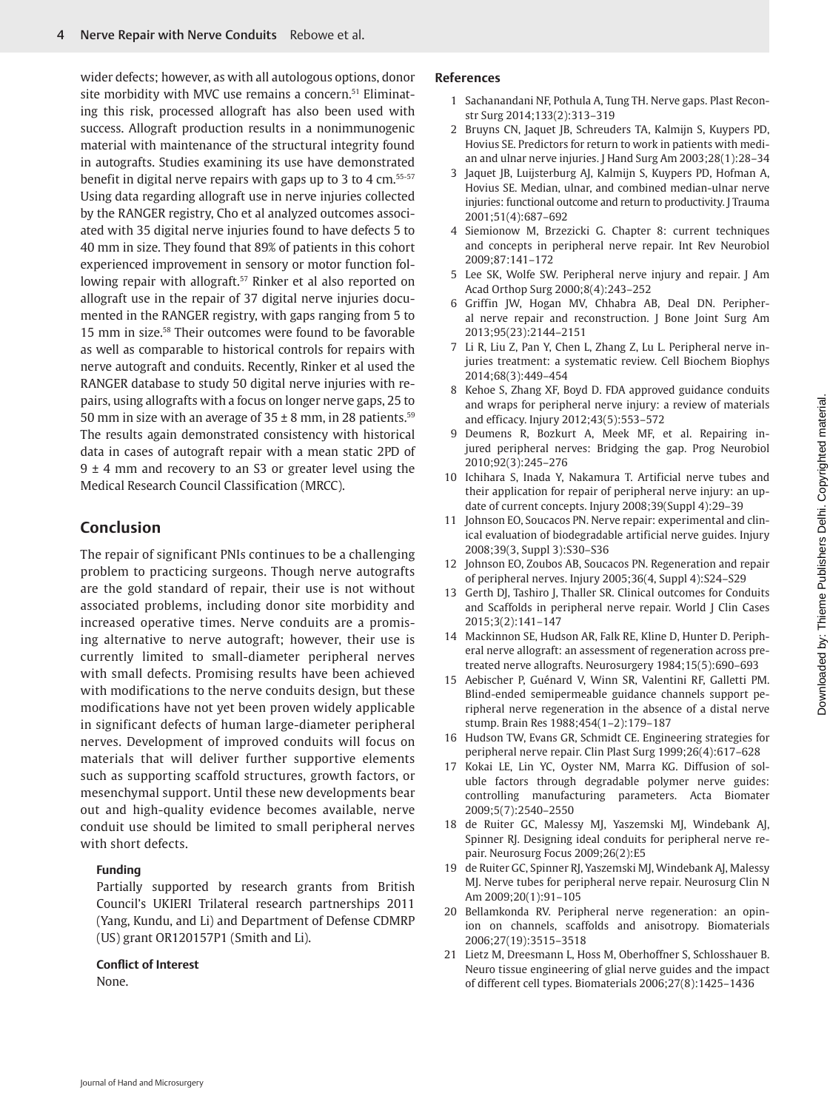wider defects; however, as with all autologous options, donor site morbidity with MVC use remains a concern.<sup>51</sup> Eliminating this risk, processed allograft has also been used with success. Allograft production results in a nonimmunogenic material with maintenance of the structural integrity found in autografts. Studies examining its use have demonstrated benefit in digital nerve repairs with gaps up to 3 to 4 cm.<sup>55-57</sup> Using data regarding allograft use in nerve injuries collected by the RANGER registry, Cho et al analyzed outcomes associated with 35 digital nerve injuries found to have defects 5 to 40 mm in size. They found that 89% of patients in this cohort experienced improvement in sensory or motor function following repair with allograft.<sup>57</sup> Rinker et al also reported on allograft use in the repair of 37 digital nerve injuries documented in the RANGER registry, with gaps ranging from 5 to 15 mm in size.58 Their outcomes were found to be favorable as well as comparable to historical controls for repairs with nerve autograft and conduits. Recently, Rinker et al used the RANGER database to study 50 digital nerve injuries with repairs, using allografts with a focus on longer nerve gaps, 25 to 50 mm in size with an average of  $35 \pm 8$  mm, in 28 patients.<sup>59</sup> The results again demonstrated consistency with historical data in cases of autograft repair with a mean static 2PD of  $9 \pm 4$  mm and recovery to an S3 or greater level using the Medical Research Council Classification (MRCC).

# **Conclusion**

The repair of significant PNIs continues to be a challenging problem to practicing surgeons. Though nerve autografts are the gold standard of repair, their use is not without associated problems, including donor site morbidity and increased operative times. Nerve conduits are a promising alternative to nerve autograft; however, their use is currently limited to small-diameter peripheral nerves with small defects. Promising results have been achieved with modifications to the nerve conduits design, but these modifications have not yet been proven widely applicable in significant defects of human large-diameter peripheral nerves. Development of improved conduits will focus on materials that will deliver further supportive elements such as supporting scaffold structures, growth factors, or mesenchymal support. Until these new developments bear out and high-quality evidence becomes available, nerve conduit use should be limited to small peripheral nerves with short defects.

#### **Funding**

Partially supported by research grants from British Council's UKIERI Trilateral research partnerships 2011 (Yang, Kundu, and Li) and Department of Defense CDMRP (US) grant OR120157P1 (Smith and Li).

#### **Conflict of Interest**

None.

## **References**

- 1 Sachanandani NF, Pothula A, Tung TH. Nerve gaps. Plast Reconstr Surg 2014;133(2):313–319
- 2 Bruyns CN, Jaquet JB, Schreuders TA, Kalmijn S, Kuypers PD, Hovius SE. Predictors for return to work in patients with median and ulnar nerve injuries. J Hand Surg Am 2003;28(1):28–34
- 3 Jaquet JB, Luijsterburg AJ, Kalmijn S, Kuypers PD, Hofman A, Hovius SE. Median, ulnar, and combined median-ulnar nerve injuries: functional outcome and return to productivity. J Trauma 2001;51(4):687–692
- 4 Siemionow M, Brzezicki G. Chapter 8: current techniques and concepts in peripheral nerve repair. Int Rev Neurobiol 2009;87:141–172
- 5 Lee SK, Wolfe SW. Peripheral nerve injury and repair. J Am Acad Orthop Surg 2000;8(4):243–252
- 6 Griffin JW, Hogan MV, Chhabra AB, Deal DN. Peripheral nerve repair and reconstruction. J Bone Joint Surg Am 2013;95(23):2144–2151
- 7 Li R, Liu Z, Pan Y, Chen L, Zhang Z, Lu L. Peripheral nerve injuries treatment: a systematic review. Cell Biochem Biophys 2014;68(3):449–454
- 8 Kehoe S, Zhang XF, Boyd D. FDA approved guidance conduits and wraps for peripheral nerve injury: a review of materials and efficacy. Injury 2012;43(5):553–572
- 9 Deumens R, Bozkurt A, Meek MF, et al. Repairing injured peripheral nerves: Bridging the gap. Prog Neurobiol 2010;92(3):245–276
- 10 Ichihara S, Inada Y, Nakamura T. Artificial nerve tubes and their application for repair of peripheral nerve injury: an update of current concepts. Injury 2008;39(Suppl 4):29–39
- 11 Johnson EO, Soucacos PN. Nerve repair: experimental and clinical evaluation of biodegradable artificial nerve guides. Injury 2008;39(3, Suppl 3):S30–S36
- 12 Johnson EO, Zoubos AB, Soucacos PN. Regeneration and repair of peripheral nerves. Injury 2005;36(4, Suppl 4):S24–S29
- 13 Gerth DJ, Tashiro J, Thaller SR. Clinical outcomes for Conduits and Scaffolds in peripheral nerve repair. World J Clin Cases 2015;3(2):141–147
- 14 Mackinnon SE, Hudson AR, Falk RE, Kline D, Hunter D. Peripheral nerve allograft: an assessment of regeneration across pretreated nerve allografts. Neurosurgery 1984;15(5):690–693
- 15 Aebischer P, Guénard V, Winn SR, Valentini RF, Galletti PM. Blind-ended semipermeable guidance channels support peripheral nerve regeneration in the absence of a distal nerve stump. Brain Res 1988;454(1–2):179–187
- 16 Hudson TW, Evans GR, Schmidt CE. Engineering strategies for peripheral nerve repair. Clin Plast Surg 1999;26(4):617–628
- 17 Kokai LE, Lin YC, Oyster NM, Marra KG. Diffusion of soluble factors through degradable polymer nerve guides: controlling manufacturing parameters. Acta Biomater 2009;5(7):2540–2550
- 18 de Ruiter GC, Malessy MJ, Yaszemski MJ, Windebank AJ, Spinner RJ. Designing ideal conduits for peripheral nerve repair. Neurosurg Focus 2009;26(2):E5
- 19 de Ruiter GC, Spinner RJ, Yaszemski MJ, Windebank AJ, Malessy MJ. Nerve tubes for peripheral nerve repair. Neurosurg Clin N Am 2009;20(1):91–105
- 20 Bellamkonda RV. Peripheral nerve regeneration: an opinion on channels, scaffolds and anisotropy. Biomaterials 2006;27(19):3515–3518
- 21 Lietz M, Dreesmann L, Hoss M, Oberhoffner S, Schlosshauer B. Neuro tissue engineering of glial nerve guides and the impact of different cell types. Biomaterials 2006;27(8):1425–1436

Downloaded by: Thieme Publishers Delhi. Copyrighted material.Downloaded by: Thieme Publishers Delhi. Copyrighted material